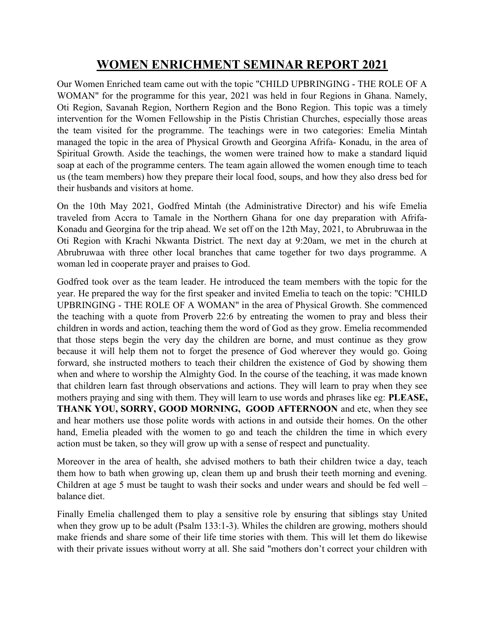## WOMEN ENRICHMENT SEMINAR REPORT 2021

Our Women Enriched team came out with the topic "CHILD UPBRINGING - THE ROLE OF A WOMAN" for the programme for this year, 2021 was held in four Regions in Ghana. Namely, Oti Region, Savanah Region, Northern Region and the Bono Region. This topic was a timely intervention for the Women Fellowship in the Pistis Christian Churches, especially those areas the team visited for the programme. The teachings were in two categories: Emelia Mintah managed the topic in the area of Physical Growth and Georgina Afrifa- Konadu, in the area of Spiritual Growth. Aside the teachings, the women were trained how to make a standard liquid soap at each of the programme centers. The team again allowed the women enough time to teach us (the team members) how they prepare their local food, soups, and how they also dress bed for their husbands and visitors at home.

On the 10th May 2021, Godfred Mintah (the Administrative Director) and his wife Emelia traveled from Accra to Tamale in the Northern Ghana for one day preparation with Afrifa-Konadu and Georgina for the trip ahead. We set off on the 12th May, 2021, to Abrubruwaa in the Oti Region with Krachi Nkwanta District. The next day at 9:20am, we met in the church at Abrubruwaa with three other local branches that came together for two days programme. A woman led in cooperate prayer and praises to God.

Godfred took over as the team leader. He introduced the team members with the topic for the year. He prepared the way for the first speaker and invited Emelia to teach on the topic: "CHILD UPBRINGING - THE ROLE OF A WOMAN" in the area of Physical Growth. She commenced the teaching with a quote from Proverb 22:6 by entreating the women to pray and bless their children in words and action, teaching them the word of God as they grow. Emelia recommended that those steps begin the very day the children are borne, and must continue as they grow because it will help them not to forget the presence of God wherever they would go. Going forward, she instructed mothers to teach their children the existence of God by showing them when and where to worship the Almighty God. In the course of the teaching, it was made known that children learn fast through observations and actions. They will learn to pray when they see mothers praying and sing with them. They will learn to use words and phrases like eg: PLEASE, THANK YOU, SORRY, GOOD MORNING, GOOD AFTERNOON and etc, when they see and hear mothers use those polite words with actions in and outside their homes. On the other hand, Emelia pleaded with the women to go and teach the children the time in which every action must be taken, so they will grow up with a sense of respect and punctuality.

Moreover in the area of health, she advised mothers to bath their children twice a day, teach them how to bath when growing up, clean them up and brush their teeth morning and evening. Children at age 5 must be taught to wash their socks and under wears and should be fed well – balance diet.

Finally Emelia challenged them to play a sensitive role by ensuring that siblings stay United when they grow up to be adult (Psalm 133:1-3). Whiles the children are growing, mothers should make friends and share some of their life time stories with them. This will let them do likewise with their private issues without worry at all. She said "mothers don't correct your children with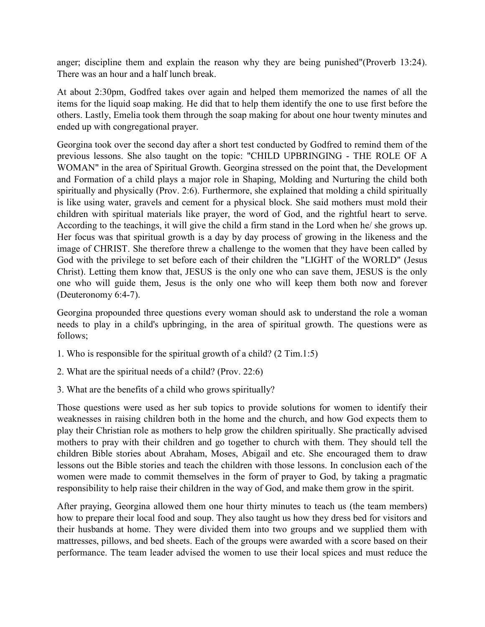anger; discipline them and explain the reason why they are being punished"(Proverb 13:24). There was an hour and a half lunch break.

At about 2:30pm, Godfred takes over again and helped them memorized the names of all the items for the liquid soap making. He did that to help them identify the one to use first before the others. Lastly, Emelia took them through the soap making for about one hour twenty minutes and ended up with congregational prayer.

Georgina took over the second day after a short test conducted by Godfred to remind them of the previous lessons. She also taught on the topic: "CHILD UPBRINGING - THE ROLE OF A WOMAN" in the area of Spiritual Growth. Georgina stressed on the point that, the Development and Formation of a child plays a major role in Shaping, Molding and Nurturing the child both spiritually and physically (Prov. 2:6). Furthermore, she explained that molding a child spiritually is like using water, gravels and cement for a physical block. She said mothers must mold their children with spiritual materials like prayer, the word of God, and the rightful heart to serve. According to the teachings, it will give the child a firm stand in the Lord when he/ she grows up. Her focus was that spiritual growth is a day by day process of growing in the likeness and the image of CHRIST. She therefore threw a challenge to the women that they have been called by God with the privilege to set before each of their children the "LIGHT of the WORLD" (Jesus Christ). Letting them know that, JESUS is the only one who can save them, JESUS is the only one who will guide them, Jesus is the only one who will keep them both now and forever (Deuteronomy 6:4-7).

Georgina propounded three questions every woman should ask to understand the role a woman needs to play in a child's upbringing, in the area of spiritual growth. The questions were as follows;

- 1. Who is responsible for the spiritual growth of a child? (2 Tim.1:5)
- 2. What are the spiritual needs of a child? (Prov. 22:6)
- 3. What are the benefits of a child who grows spiritually?

Those questions were used as her sub topics to provide solutions for women to identify their weaknesses in raising children both in the home and the church, and how God expects them to play their Christian role as mothers to help grow the children spiritually. She practically advised mothers to pray with their children and go together to church with them. They should tell the children Bible stories about Abraham, Moses, Abigail and etc. She encouraged them to draw lessons out the Bible stories and teach the children with those lessons. In conclusion each of the women were made to commit themselves in the form of prayer to God, by taking a pragmatic responsibility to help raise their children in the way of God, and make them grow in the spirit.

After praying, Georgina allowed them one hour thirty minutes to teach us (the team members) how to prepare their local food and soup. They also taught us how they dress bed for visitors and their husbands at home. They were divided them into two groups and we supplied them with mattresses, pillows, and bed sheets. Each of the groups were awarded with a score based on their performance. The team leader advised the women to use their local spices and must reduce the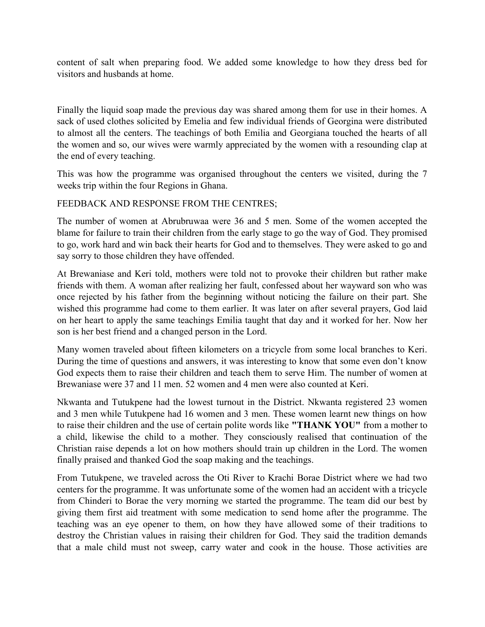content of salt when preparing food. We added some knowledge to how they dress bed for visitors and husbands at home.

Finally the liquid soap made the previous day was shared among them for use in their homes. A sack of used clothes solicited by Emelia and few individual friends of Georgina were distributed to almost all the centers. The teachings of both Emilia and Georgiana touched the hearts of all the women and so, our wives were warmly appreciated by the women with a resounding clap at the end of every teaching.

This was how the programme was organised throughout the centers we visited, during the 7 weeks trip within the four Regions in Ghana.

## FEEDBACK AND RESPONSE FROM THE CENTRES;

The number of women at Abrubruwaa were 36 and 5 men. Some of the women accepted the blame for failure to train their children from the early stage to go the way of God. They promised to go, work hard and win back their hearts for God and to themselves. They were asked to go and say sorry to those children they have offended.

At Brewaniase and Keri told, mothers were told not to provoke their children but rather make friends with them. A woman after realizing her fault, confessed about her wayward son who was once rejected by his father from the beginning without noticing the failure on their part. She wished this programme had come to them earlier. It was later on after several prayers, God laid on her heart to apply the same teachings Emilia taught that day and it worked for her. Now her son is her best friend and a changed person in the Lord.

Many women traveled about fifteen kilometers on a tricycle from some local branches to Keri. During the time of questions and answers, it was interesting to know that some even don't know God expects them to raise their children and teach them to serve Him. The number of women at Brewaniase were 37 and 11 men. 52 women and 4 men were also counted at Keri.

Nkwanta and Tutukpene had the lowest turnout in the District. Nkwanta registered 23 women and 3 men while Tutukpene had 16 women and 3 men. These women learnt new things on how to raise their children and the use of certain polite words like "THANK YOU" from a mother to a child, likewise the child to a mother. They consciously realised that continuation of the Christian raise depends a lot on how mothers should train up children in the Lord. The women finally praised and thanked God the soap making and the teachings.

From Tutukpene, we traveled across the Oti River to Krachi Borae District where we had two centers for the programme. It was unfortunate some of the women had an accident with a tricycle from Chinderi to Borae the very morning we started the programme. The team did our best by giving them first aid treatment with some medication to send home after the programme. The teaching was an eye opener to them, on how they have allowed some of their traditions to destroy the Christian values in raising their children for God. They said the tradition demands that a male child must not sweep, carry water and cook in the house. Those activities are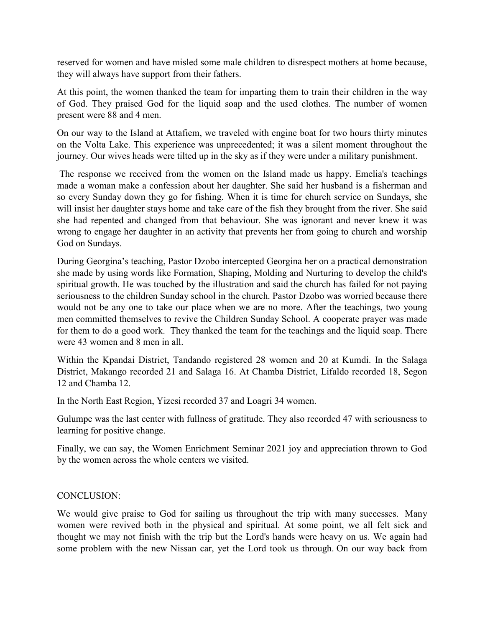reserved for women and have misled some male children to disrespect mothers at home because, they will always have support from their fathers.

At this point, the women thanked the team for imparting them to train their children in the way of God. They praised God for the liquid soap and the used clothes. The number of women present were 88 and 4 men.

On our way to the Island at Attafiem, we traveled with engine boat for two hours thirty minutes on the Volta Lake. This experience was unprecedented; it was a silent moment throughout the journey. Our wives heads were tilted up in the sky as if they were under a military punishment.

 The response we received from the women on the Island made us happy. Emelia's teachings made a woman make a confession about her daughter. She said her husband is a fisherman and so every Sunday down they go for fishing. When it is time for church service on Sundays, she will insist her daughter stays home and take care of the fish they brought from the river. She said she had repented and changed from that behaviour. She was ignorant and never knew it was wrong to engage her daughter in an activity that prevents her from going to church and worship God on Sundays.

During Georgina's teaching, Pastor Dzobo intercepted Georgina her on a practical demonstration she made by using words like Formation, Shaping, Molding and Nurturing to develop the child's spiritual growth. He was touched by the illustration and said the church has failed for not paying seriousness to the children Sunday school in the church. Pastor Dzobo was worried because there would not be any one to take our place when we are no more. After the teachings, two young men committed themselves to revive the Children Sunday School. A cooperate prayer was made for them to do a good work. They thanked the team for the teachings and the liquid soap. There were 43 women and 8 men in all.

Within the Kpandai District, Tandando registered 28 women and 20 at Kumdi. In the Salaga District, Makango recorded 21 and Salaga 16. At Chamba District, Lifaldo recorded 18, Segon 12 and Chamba 12.

In the North East Region, Yizesi recorded 37 and Loagri 34 women.

Gulumpe was the last center with fullness of gratitude. They also recorded 47 with seriousness to learning for positive change.

Finally, we can say, the Women Enrichment Seminar 2021 joy and appreciation thrown to God by the women across the whole centers we visited.

## CONCLUSION:

We would give praise to God for sailing us throughout the trip with many successes. Many women were revived both in the physical and spiritual. At some point, we all felt sick and thought we may not finish with the trip but the Lord's hands were heavy on us. We again had some problem with the new Nissan car, yet the Lord took us through. On our way back from